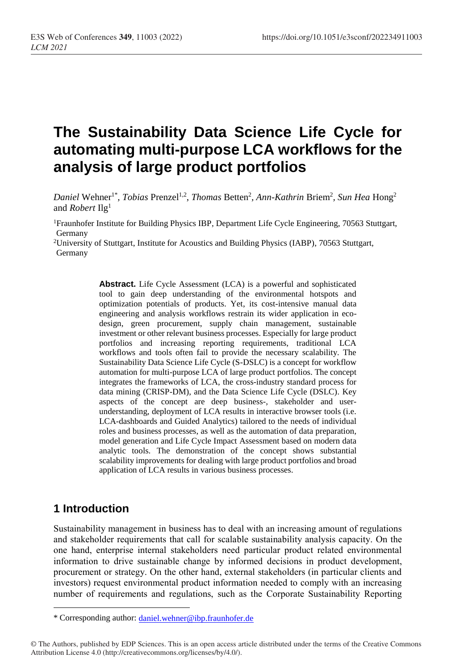# **The Sustainability Data Science Life Cycle for automating multi-purpose LCA workflows for the analysis of large product portfolios**

Daniel Wehner<sup>1\*</sup>, *Tobias* Prenzel<sup>1,2</sup>, *Thomas* Betten<sup>2</sup>, *Ann-Kathrin* Briem<sup>2</sup>, *Sun Hea* Hong<sup>2</sup> and *Robert* Ilg<sup>1</sup>

<sup>1</sup>Fraunhofer Institute for Building Physics IBP, Department Life Cycle Engineering, 70563 Stuttgart, Germany

<sup>2</sup>University of Stuttgart, Institute for Acoustics and Building Physics (IABP), 70563 Stuttgart, Germany

> **Abstract.** Life Cycle Assessment (LCA) is a powerful and sophisticated tool to gain deep understanding of the environmental hotspots and optimization potentials of products. Yet, its cost-intensive manual data engineering and analysis workflows restrain its wider application in ecodesign, green procurement, supply chain management, sustainable investment or other relevant business processes. Especially for large product portfolios and increasing reporting requirements, traditional LCA workflows and tools often fail to provide the necessary scalability. The Sustainability Data Science Life Cycle (S-DSLC) is a concept for workflow automation for multi-purpose LCA of large product portfolios. The concept integrates the frameworks of LCA, the cross-industry standard process for data mining (CRISP-DM), and the Data Science Life Cycle (DSLC). Key aspects of the concept are deep business-, stakeholder and userunderstanding, deployment of LCA results in interactive browser tools (i.e. LCA-dashboards and Guided Analytics) tailored to the needs of individual roles and business processes, as well as the automation of data preparation, model generation and Life Cycle Impact Assessment based on modern data analytic tools. The demonstration of the concept shows substantial scalability improvements for dealing with large product portfolios and broad application of LCA results in various business processes.

#### **1 Introduction**

 $\overline{a}$ 

Sustainability management in business has to deal with an increasing amount of regulations and stakeholder requirements that call for scalable sustainability analysis capacity. On the one hand, enterprise internal stakeholders need particular product related environmental information to drive sustainable change by informed decisions in product development, procurement or strategy. On the other hand, external stakeholders (in particular clients and investors) request environmental product information needed to comply with an increasing number of requirements and regulations, such as the Corporate Sustainability Reporting

<sup>\*</sup> Corresponding author: [daniel.wehner@ibp.fraunhofer.de](mailto:daniel.wehner@ibp.fraunhofer.de)

<sup>©</sup> The Authors, published by EDP Sciences. This is an open access article distributed under the terms of the Creative Commons Attribution License 4.0 (http://creativecommons.org/licenses/by/4.0/).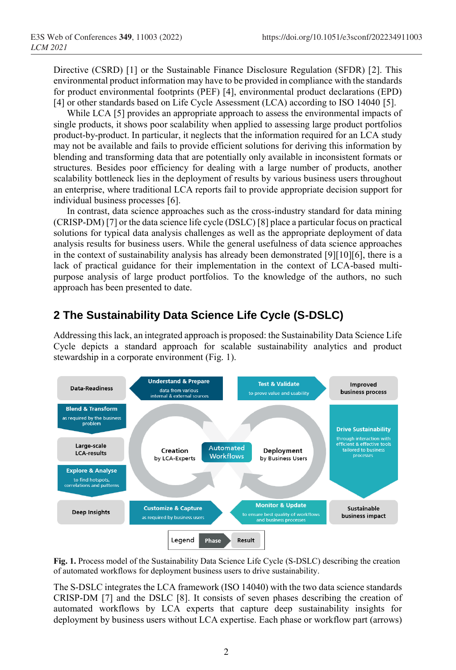Directive (CSRD) [\[1\]](#page-5-0) or the Sustainable Finance Disclosure Regulation (SFDR) [\[2\]](#page-5-1). This environmental product information may have to be provided in compliance with the standards for product environmental footprints (PEF) [\[4\]](#page-5-2), environmental product declarations (EPD) [\[4\]](#page-5-2) or other standards based on Life Cycle Assessment (LCA) according to ISO 14040 [\[5\]](#page-5-3).

While LCA [\[5\]](#page-5-3) provides an appropriate approach to assess the environmental impacts of single products, it shows poor scalability when applied to assessing large product portfolios product-by-product. In particular, it neglects that the information required for an LCA study may not be available and fails to provide efficient solutions for deriving this information by blending and transforming data that are potentially only available in inconsistent formats or structures. Besides poor efficiency for dealing with a large number of products, another scalability bottleneck lies in the deployment of results by various business users throughout an enterprise, where traditional LCA reports fail to provide appropriate decision support for individual business processes [\[6\]](#page-5-4).

In contrast, data science approaches such as the cross-industry standard for data mining (CRISP-DM) [\[7\]](#page-5-5) or the data science life cycle (DSLC) [\[8\]](#page-5-6) place a particular focus on practical solutions for typical data analysis challenges as well as the appropriate deployment of data analysis results for business users. While the general usefulness of data science approaches in the context of sustainability analysis has already been demonstrated [\[9\]](#page-5-7)[\[10\]](#page-5-8)[\[6\]](#page-5-4), there is a lack of practical guidance for their implementation in the context of LCA-based multipurpose analysis of large product portfolios. To the knowledge of the authors, no such approach has been presented to date.

## **2 The Sustainability Data Science Life Cycle (S-DSLC)**

Addressing this lack, an integrated approach is proposed: the Sustainability Data Science Life Cycle depicts a standard approach for scalable sustainability analytics and product stewardship in a corporate environment (Fig. 1).



**Fig. 1.** Process model of the Sustainability Data Science Life Cycle (S-DSLC) describing the creation of automated workflows for deployment business users to drive sustainability.

The S-DSLC integrates the LCA framework (ISO 14040) with the two data science standards CRISP-DM [\[7\]](#page-5-5) and the DSLC [\[8\]](#page-5-6). It consists of seven phases describing the creation of automated workflows by LCA experts that capture deep sustainability insights for deployment by business users without LCA expertise. Each phase or workflow part (arrows)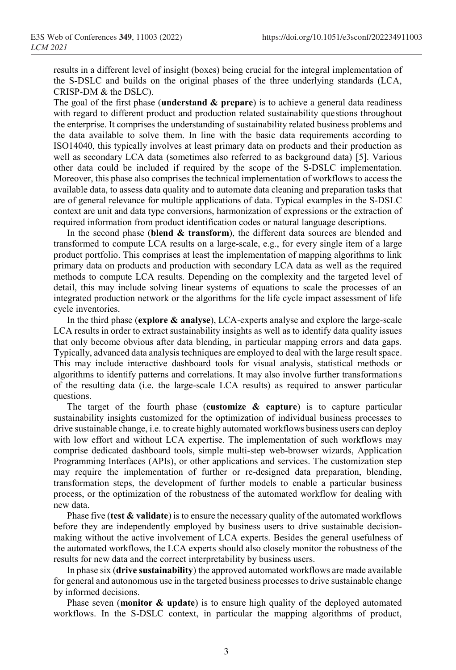results in a different level of insight (boxes) being crucial for the integral implementation of the S-DSLC and builds on the original phases of the three underlying standards (LCA, CRISP-DM & the DSLC).

The goal of the first phase (**understand & prepare**) is to achieve a general data readiness with regard to different product and production related sustainability questions throughout the enterprise. It comprises the understanding of sustainability related business problems and the data available to solve them. In line with the basic data requirements according to ISO14040, this typically involves at least primary data on products and their production as well as secondary LCA data (sometimes also referred to as background data) [\[5\]](#page-5-3). Various other data could be included if required by the scope of the S-DSLC implementation. Moreover, this phase also comprises the technical implementation of workflows to access the available data, to assess data quality and to automate data cleaning and preparation tasks that are of general relevance for multiple applications of data. Typical examples in the S-DSLC context are unit and data type conversions, harmonization of expressions or the extraction of required information from product identification codes or natural language descriptions.

In the second phase (**blend & transform**), the different data sources are blended and transformed to compute LCA results on a large-scale, e.g., for every single item of a large product portfolio. This comprises at least the implementation of mapping algorithms to link primary data on products and production with secondary LCA data as well as the required methods to compute LCA results. Depending on the complexity and the targeted level of detail, this may include solving linear systems of equations to scale the processes of an integrated production network or the algorithms for the life cycle impact assessment of life cycle inventories.

In the third phase (**explore & analyse**), LCA-experts analyse and explore the large-scale LCA results in order to extract sustainability insights as well as to identify data quality issues that only become obvious after data blending, in particular mapping errors and data gaps. Typically, advanced data analysis techniques are employed to deal with the large result space. This may include interactive dashboard tools for visual analysis, statistical methods or algorithms to identify patterns and correlations. It may also involve further transformations of the resulting data (i.e. the large-scale LCA results) as required to answer particular questions.

The target of the fourth phase (**customize & capture**) is to capture particular sustainability insights customized for the optimization of individual business processes to drive sustainable change, i.e. to create highly automated workflows business users can deploy with low effort and without LCA expertise. The implementation of such workflows may comprise dedicated dashboard tools, simple multi-step web-browser wizards, Application Programming Interfaces (APIs), or other applications and services. The customization step may require the implementation of further or re-designed data preparation, blending, transformation steps, the development of further models to enable a particular business process, or the optimization of the robustness of the automated workflow for dealing with new data.

Phase five (**test & validate**) is to ensure the necessary quality of the automated workflows before they are independently employed by business users to drive sustainable decisionmaking without the active involvement of LCA experts. Besides the general usefulness of the automated workflows, the LCA experts should also closely monitor the robustness of the results for new data and the correct interpretability by business users.

In phase six (**drive sustainability**) the approved automated workflows are made available for general and autonomous use in the targeted business processes to drive sustainable change by informed decisions.

Phase seven (**monitor & update**) is to ensure high quality of the deployed automated workflows. In the S-DSLC context, in particular the mapping algorithms of product,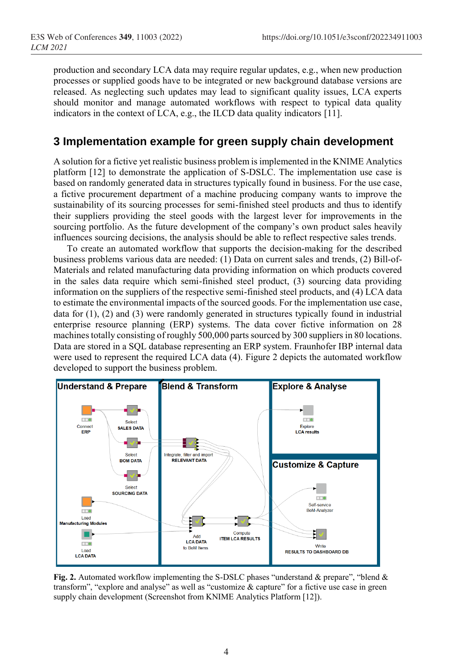production and secondary LCA data may require regular updates, e.g., when new production processes or supplied goods have to be integrated or new background database versions are released. As neglecting such updates may lead to significant quality issues, LCA experts should monitor and manage automated workflows with respect to typical data quality indicators in the context of LCA, e.g., the ILCD data quality indicators [\[11\]](#page-5-9).

#### **3 Implementation example for green supply chain development**

A solution for a fictive yet realistic business problem is implemented in the KNIME Analytics platform [\[12\]](#page-5-10) to demonstrate the application of S-DSLC. The implementation use case is based on randomly generated data in structures typically found in business. For the use case, a fictive procurement department of a machine producing company wants to improve the sustainability of its sourcing processes for semi-finished steel products and thus to identify their suppliers providing the steel goods with the largest lever for improvements in the sourcing portfolio. As the future development of the company's own product sales heavily influences sourcing decisions, the analysis should be able to reflect respective sales trends.

To create an automated workflow that supports the decision-making for the described business problems various data are needed: (1) Data on current sales and trends, (2) Bill-of-Materials and related manufacturing data providing information on which products covered in the sales data require which semi-finished steel product, (3) sourcing data providing information on the suppliers of the respective semi-finished steel products, and (4) LCA data to estimate the environmental impacts of the sourced goods. For the implementation use case, data for (1), (2) and (3) were randomly generated in structures typically found in industrial enterprise resource planning (ERP) systems. The data cover fictive information on 28 machines totally consisting of roughly 500,000 parts sourced by 300 suppliers in 80 locations. Data are stored in a SQL database representing an ERP system. Fraunhofer IBP internal data were used to represent the required LCA data (4). Figure 2 depicts the automated workflow developed to support the business problem.



**Fig. 2.** Automated workflow implementing the S-DSLC phases "understand & prepare", "blend & transform", "explore and analyse" as well as "customize & capture" for a fictive use case in green supply chain development (Screenshot from KNIME Analytics Platform [12]).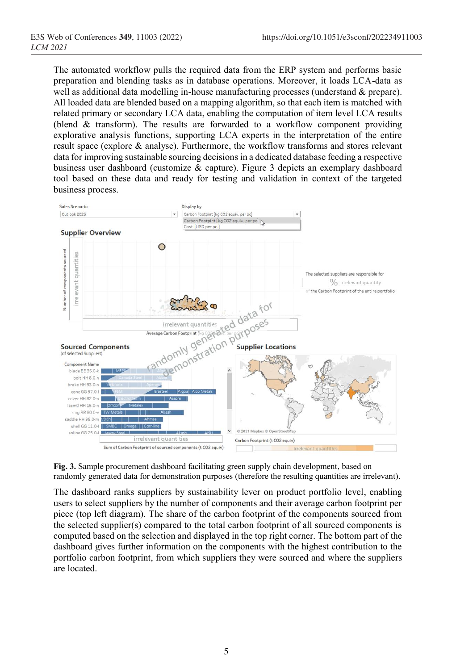The automated workflow pulls the required data from the ERP system and performs basic preparation and blending tasks as in database operations. Moreover, it loads LCA-data as well as additional data modelling in-house manufacturing processes (understand & prepare). All loaded data are blended based on a mapping algorithm, so that each item is matched with related primary or secondary LCA data, enabling the computation of item level LCA results (blend & transform). The results are forwarded to a workflow component providing explorative analysis functions, supporting LCA experts in the interpretation of the entire result space (explore & analyse). Furthermore, the workflow transforms and stores relevant data for improving sustainable sourcing decisions in a dedicated database feeding a respective business user dashboard (customize & capture). Figure 3 depicts an exemplary dashboard tool based on these data and ready for testing and validation in context of the targeted business process.



**Fig. 3.** Sample procurement dashboard facilitating green supply chain development, based on randomly generated data for demonstration purposes (therefore the resulting quantities are irrelevant).

The dashboard ranks suppliers by sustainability lever on product portfolio level, enabling users to select suppliers by the number of components and their average carbon footprint per piece (top left diagram). The share of the carbon footprint of the components sourced from the selected supplier(s) compared to the total carbon footprint of all sourced components is computed based on the selection and displayed in the top right corner. The bottom part of the dashboard gives further information on the components with the highest contribution to the portfolio carbon footprint, from which suppliers they were sourced and where the suppliers are located.